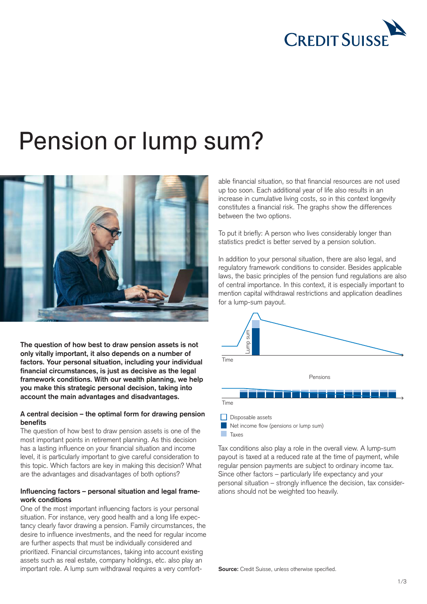

# Pension or lump sum?



**The question of how best to draw pension assets is not only vitally important, it also depends on a number of factors. Your personal situation, including your individual financial circumstances, is just as decisive as the legal framework conditions. With our wealth planning, we help you make this strategic personal decision, taking into account the main advantages and disadvantages.**

# **A central decision – the optimal form for drawing pension benefits**

The question of how best to draw pension assets is one of the most important points in retirement planning. As this decision has a lasting influence on your financial situation and income level, it is particularly important to give careful consideration to this topic. Which factors are key in making this decision? What are the advantages and disadvantages of both options?

# **Influencing factors – personal situation and legal framework conditions**

One of the most important influencing factors is your personal situation. For instance, very good health and a long life expectancy clearly favor drawing a pension. Family circumstances, the desire to influence investments, and the need for regular income are further aspects that must be individually considered and prioritized. Financial circumstances, taking into account existing assets such as real estate, company holdings, etc. also play an important role. A lump sum withdrawal requires a very comfort-

able financial situation, so that financial resources are not used up too soon. Each additional year of life also results in an increase in cumulative living costs, so in this context longevity constitutes a financial risk. The graphs show the differences between the two options.

To put it briefly: A person who lives considerably longer than statistics predict is better served by a pension solution.

In addition to your personal situation, there are also legal, and regulatory framework conditions to consider. Besides applicable laws, the basic principles of the pension fund regulations are also of central importance. In this context, it is especially important to mention capital withdrawal restrictions and application deadlines for a lump-sum payout.



Tax conditions also play a role in the overall view. A lump-sum payout is taxed at a reduced rate at the time of payment, while regular pension payments are subject to ordinary income tax. Since other factors – particularly life expectancy and your personal situation – strongly influence the decision, tax considerations should not be weighted too heavily.

**Source:** Credit Suisse, unless otherwise specified.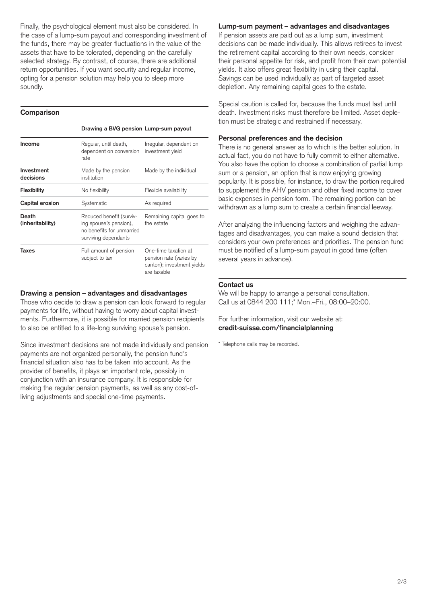Finally, the psychological element must also be considered. In the case of a lump-sum payout and corresponding investment of the funds, there may be greater fluctuations in the value of the assets that have to be tolerated, depending on the carefully selected strategy. By contrast, of course, there are additional return opportunities. If you want security and regular income, opting for a pension solution may help you to sleep more soundly.

### **Comparison**

|  | Drawing a BVG pension Lump-sum payout |  |
|--|---------------------------------------|--|

| Income                    | Regular, until death,<br>dependent on conversion<br>rate                                                | Irregular, dependent on<br>investment yield                                                  |  |
|---------------------------|---------------------------------------------------------------------------------------------------------|----------------------------------------------------------------------------------------------|--|
| Investment<br>decisions   | Made by the pension<br>institution                                                                      | Made by the individual                                                                       |  |
| Flexibility               | No flexibility                                                                                          | Flexible availability                                                                        |  |
| Capital erosion           | Systematic                                                                                              | As required                                                                                  |  |
| Death<br>(inheritability) | Reduced benefit (surviv-<br>ing spouse's pension),<br>no benefits for unmarried<br>surviving dependants | Remaining capital goes to<br>the estate                                                      |  |
| Taxes                     | Full amount of pension<br>subject to tax                                                                | One-time taxation at<br>pension rate (varies by<br>canton); investment yields<br>are taxable |  |

#### **Drawing a pension – advantages and disadvantages**

Those who decide to draw a pension can look forward to regular payments for life, without having to worry about capital investments. Furthermore, it is possible for married pension recipients to also be entitled to a life-long surviving spouse's pension.

Since investment decisions are not made individually and pension payments are not organized personally, the pension fund's financial situation also has to be taken into account. As the provider of benefits, it plays an important role, possibly in conjunction with an insurance company. It is responsible for making the regular pension payments, as well as any cost-ofliving adjustments and special one-time payments.

## **Lump-sum payment – advantages and disadvantages**

If pension assets are paid out as a lump sum, investment decisions can be made individually. This allows retirees to invest the retirement capital according to their own needs, consider their personal appetite for risk, and profit from their own potential yields. It also offers great flexibility in using their capital. Savings can be used individually as part of targeted asset depletion. Any remaining capital goes to the estate.

Special caution is called for, because the funds must last until death. Investment risks must therefore be limited. Asset depletion must be strategic and restrained if necessary.

#### **Personal preferences and the decision**

There is no general answer as to which is the better solution. In actual fact, you do not have to fully commit to either alternative. You also have the option to choose a combination of partial lump sum or a pension, an option that is now enjoying growing popularity. It is possible, for instance, to draw the portion required to supplement the AHV pension and other fixed income to cover basic expenses in pension form. The remaining portion can be withdrawn as a lump sum to create a certain financial leeway.

After analyzing the influencing factors and weighing the advantages and disadvantages, you can make a sound decision that considers your own preferences and priorities. The pension fund must be notified of a lump-sum payout in good time (often several years in advance).

## **Contact us**

We will be happy to arrange a personal consultation. Call us at 0844 200 111;\* Mon.–Fri., 08:00–20:00.

For further information, visit our website at: **[credit-suisse.com/financialplanning](https://www.credit-suisse.com/ch/en/private-clients/financial-planning.html)**

\* Telephone calls may be recorded.